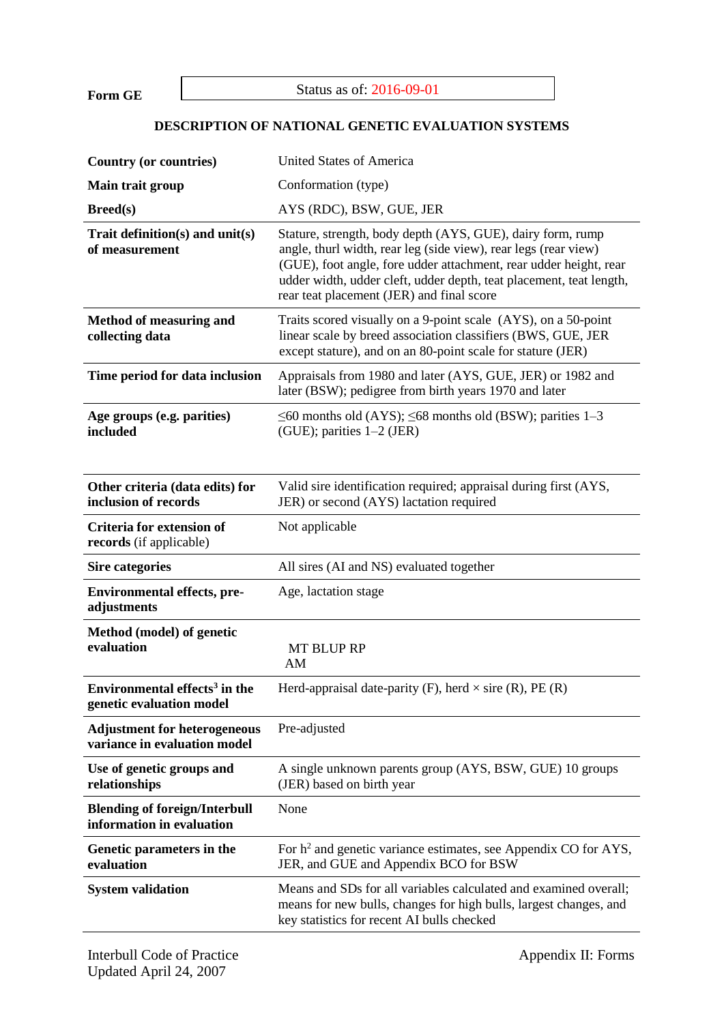**Form GE**

## Status as of: 2016-09-01

## **DESCRIPTION OF NATIONAL GENETIC EVALUATION SYSTEMS**

| <b>Country (or countries)</b>                                         | <b>United States of America</b>                                                                                                                                                                                                                                                                                        |  |  |  |
|-----------------------------------------------------------------------|------------------------------------------------------------------------------------------------------------------------------------------------------------------------------------------------------------------------------------------------------------------------------------------------------------------------|--|--|--|
| Main trait group                                                      | Conformation (type)                                                                                                                                                                                                                                                                                                    |  |  |  |
| Breed(s)                                                              | AYS (RDC), BSW, GUE, JER                                                                                                                                                                                                                                                                                               |  |  |  |
| Trait definition(s) and unit(s)<br>of measurement                     | Stature, strength, body depth (AYS, GUE), dairy form, rump<br>angle, thurl width, rear leg (side view), rear legs (rear view)<br>(GUE), foot angle, fore udder attachment, rear udder height, rear<br>udder width, udder cleft, udder depth, teat placement, teat length,<br>rear teat placement (JER) and final score |  |  |  |
| <b>Method of measuring and</b><br>collecting data                     | Traits scored visually on a 9-point scale (AYS), on a 50-point<br>linear scale by breed association classifiers (BWS, GUE, JER<br>except stature), and on an 80-point scale for stature (JER)                                                                                                                          |  |  |  |
| Time period for data inclusion                                        | Appraisals from 1980 and later (AYS, GUE, JER) or 1982 and<br>later (BSW); pedigree from birth years 1970 and later                                                                                                                                                                                                    |  |  |  |
| Age groups (e.g. parities)<br>included                                | $\leq 60$ months old (AYS); $\leq 68$ months old (BSW); parities 1–3<br>(GUE); parities $1-2$ (JER)                                                                                                                                                                                                                    |  |  |  |
| Other criteria (data edits) for<br>inclusion of records               | Valid sire identification required; appraisal during first (AYS,<br>JER) or second (AYS) lactation required                                                                                                                                                                                                            |  |  |  |
| Criteria for extension of<br>records (if applicable)                  | Not applicable                                                                                                                                                                                                                                                                                                         |  |  |  |
| <b>Sire categories</b>                                                | All sires (AI and NS) evaluated together                                                                                                                                                                                                                                                                               |  |  |  |
| <b>Environmental effects, pre-</b><br>adjustments                     | Age, lactation stage                                                                                                                                                                                                                                                                                                   |  |  |  |
| Method (model) of genetic<br>evaluation                               | <b>MT BLUP RP</b><br>AM                                                                                                                                                                                                                                                                                                |  |  |  |
| Environmental effects <sup>3</sup> in the<br>genetic evaluation model | Herd-appraisal date-parity (F), herd $\times$ sire (R), PE (R)                                                                                                                                                                                                                                                         |  |  |  |
| <b>Adjustment for heterogeneous</b><br>variance in evaluation model   | Pre-adjusted                                                                                                                                                                                                                                                                                                           |  |  |  |
| Use of genetic groups and<br>relationships                            | A single unknown parents group (AYS, BSW, GUE) 10 groups<br>(JER) based on birth year                                                                                                                                                                                                                                  |  |  |  |
| <b>Blending of foreign/Interbull</b><br>information in evaluation     | None                                                                                                                                                                                                                                                                                                                   |  |  |  |
| Genetic parameters in the<br>evaluation                               | For h <sup>2</sup> and genetic variance estimates, see Appendix CO for AYS,<br>JER, and GUE and Appendix BCO for BSW                                                                                                                                                                                                   |  |  |  |
| <b>System validation</b>                                              | Means and SDs for all variables calculated and examined overall;<br>means for new bulls, changes for high bulls, largest changes, and<br>key statistics for recent AI bulls checked                                                                                                                                    |  |  |  |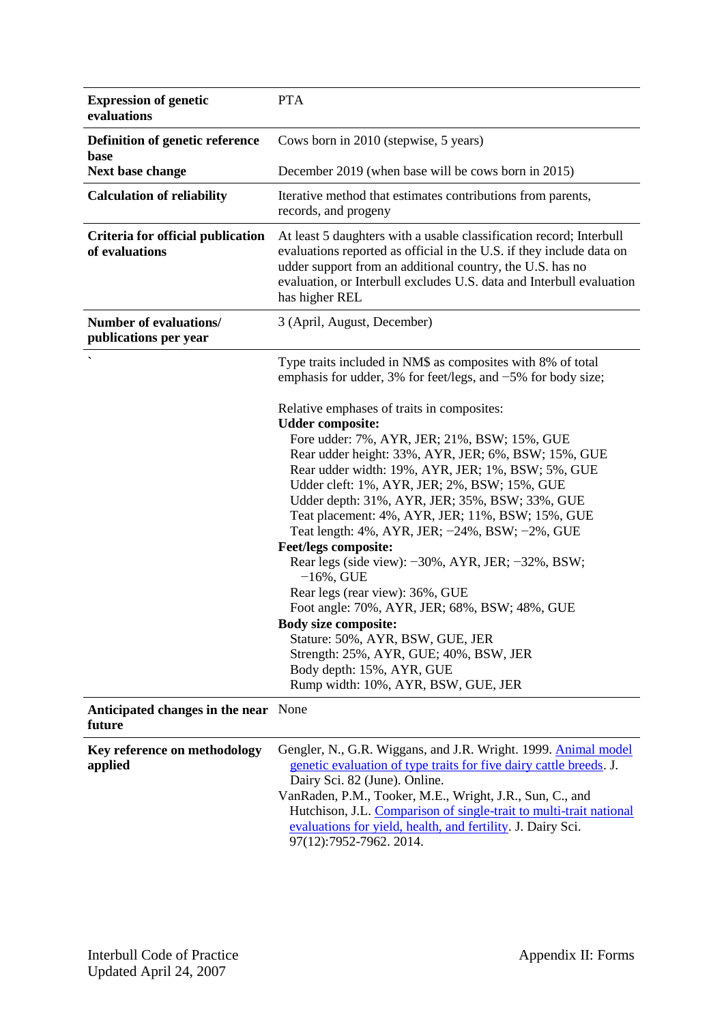| <b>Expression of genetic</b><br>evaluations            | <b>PTA</b>                                                                                                                                                                                                                                                                                                                                                                                                                                                                                                                                                                                                                                                                                                                                                                                                                                                                                                                                           |  |  |  |
|--------------------------------------------------------|------------------------------------------------------------------------------------------------------------------------------------------------------------------------------------------------------------------------------------------------------------------------------------------------------------------------------------------------------------------------------------------------------------------------------------------------------------------------------------------------------------------------------------------------------------------------------------------------------------------------------------------------------------------------------------------------------------------------------------------------------------------------------------------------------------------------------------------------------------------------------------------------------------------------------------------------------|--|--|--|
| Definition of genetic reference                        | Cows born in 2010 (stepwise, 5 years)                                                                                                                                                                                                                                                                                                                                                                                                                                                                                                                                                                                                                                                                                                                                                                                                                                                                                                                |  |  |  |
| base<br>Next base change                               | December 2019 (when base will be cows born in 2015)                                                                                                                                                                                                                                                                                                                                                                                                                                                                                                                                                                                                                                                                                                                                                                                                                                                                                                  |  |  |  |
| <b>Calculation of reliability</b>                      | Iterative method that estimates contributions from parents,<br>records, and progeny                                                                                                                                                                                                                                                                                                                                                                                                                                                                                                                                                                                                                                                                                                                                                                                                                                                                  |  |  |  |
| Criteria for official publication<br>of evaluations    | At least 5 daughters with a usable classification record; Interbull<br>evaluations reported as official in the U.S. if they include data on<br>udder support from an additional country, the U.S. has no<br>evaluation, or Interbull excludes U.S. data and Interbull evaluation<br>has higher REL                                                                                                                                                                                                                                                                                                                                                                                                                                                                                                                                                                                                                                                   |  |  |  |
| <b>Number of evaluations/</b><br>publications per year | 3 (April, August, December)                                                                                                                                                                                                                                                                                                                                                                                                                                                                                                                                                                                                                                                                                                                                                                                                                                                                                                                          |  |  |  |
|                                                        | Type traits included in NM\$ as composites with 8% of total<br>emphasis for udder, 3% for feet/legs, and $-5\%$ for body size;<br>Relative emphases of traits in composites:<br><b>Udder composite:</b><br>Fore udder: 7%, AYR, JER; 21%, BSW; 15%, GUE<br>Rear udder height: 33%, AYR, JER; 6%, BSW; 15%, GUE<br>Rear udder width: 19%, AYR, JER; 1%, BSW; 5%, GUE<br>Udder cleft: 1%, AYR, JER; 2%, BSW; 15%, GUE<br>Udder depth: 31%, AYR, JER; 35%, BSW; 33%, GUE<br>Teat placement: 4%, AYR, JER; 11%, BSW; 15%, GUE<br>Teat length: 4%, AYR, JER; -24%, BSW; -2%, GUE<br><b>Feet/legs composite:</b><br>Rear legs (side view): -30%, AYR, JER; -32%, BSW;<br>$-16%$ , GUE<br>Rear legs (rear view): 36%, GUE<br>Foot angle: 70%, AYR, JER; 68%, BSW; 48%, GUE<br><b>Body size composite:</b><br>Stature: 50%, AYR, BSW, GUE, JER<br>Strength: 25%, AYR, GUE; 40%, BSW, JER<br>Body depth: 15%, AYR, GUE<br>Rump width: 10%, AYR, BSW, GUE, JER |  |  |  |

**Anticipated changes in the near**  None **future**

| Key reference on methodology | Gengler, N., G.R. Wiggans, and J.R. Wright. 1999. Animal model     |  |  |  |
|------------------------------|--------------------------------------------------------------------|--|--|--|
| applied                      | genetic evaluation of type traits for five dairy cattle breeds. J. |  |  |  |
|                              | Dairy Sci. 82 (June). Online.                                      |  |  |  |
|                              | VanRaden, P.M., Tooker, M.E., Wright, J.R., Sun, C., and           |  |  |  |
|                              | Hutchison, J.L. Comparison of single-trait to multi-trait national |  |  |  |
|                              | evaluations for yield, health, and fertility. J. Dairy Sci.        |  |  |  |
|                              | 97(12):7952-7962. 2014.                                            |  |  |  |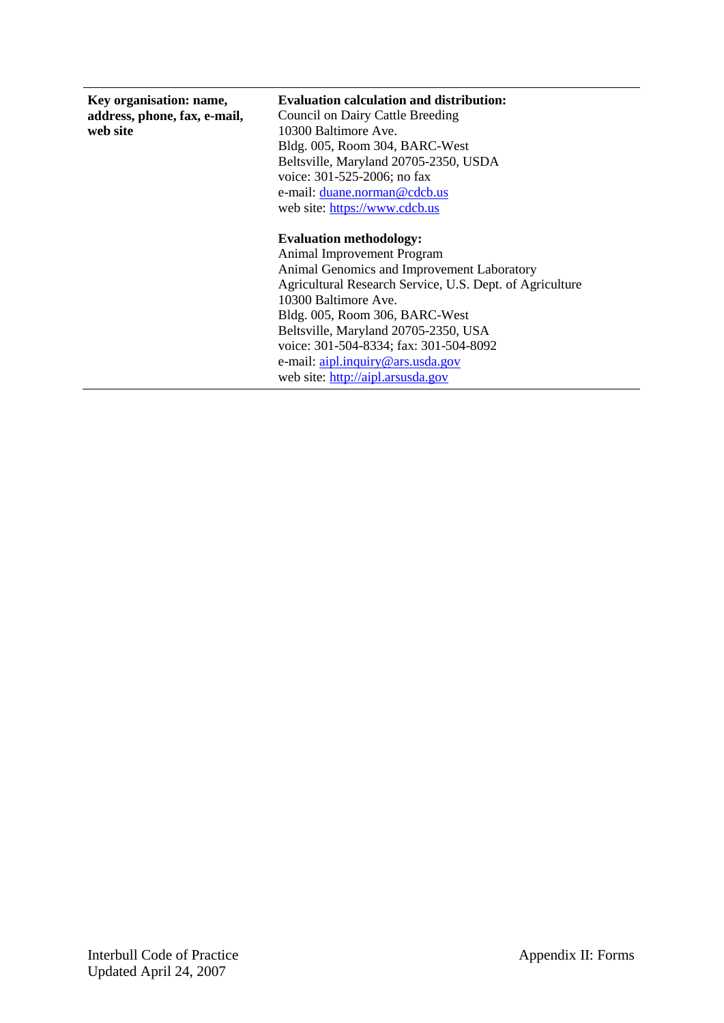| Key organisation: name,<br>address, phone, fax, e-mail,<br>web site | <b>Evaluation calculation and distribution:</b><br><b>Council on Dairy Cattle Breeding</b><br>10300 Baltimore Ave.<br>Bldg. 005, Room 304, BARC-West<br>Beltsville, Maryland 20705-2350, USDA<br>voice: 301-525-2006; no fax<br>e-mail: duane.norman@cdcb.us<br>web site: https://www.cdcb.us                                                                                                |
|---------------------------------------------------------------------|----------------------------------------------------------------------------------------------------------------------------------------------------------------------------------------------------------------------------------------------------------------------------------------------------------------------------------------------------------------------------------------------|
|                                                                     | <b>Evaluation methodology:</b><br>Animal Improvement Program<br>Animal Genomics and Improvement Laboratory<br>Agricultural Research Service, U.S. Dept. of Agriculture<br>10300 Baltimore Ave.<br>Bldg. 005, Room 306, BARC-West<br>Beltsville, Maryland 20705-2350, USA<br>voice: 301-504-8334; fax: 301-504-8092<br>e-mail: aipl.inquiry@ars.usda.gov<br>web site: http://aipl.arsusda.gov |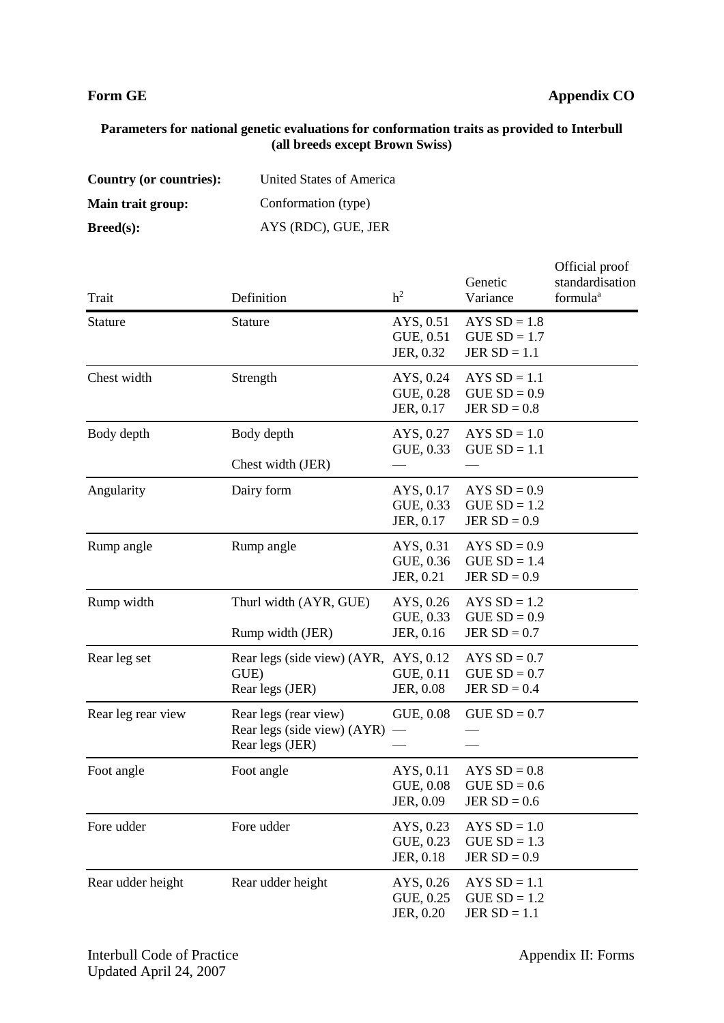# **Form GE Appendix CO**

### **Parameters for national genetic evaluations for conformation traits as provided to Interbull (all breeds except Brown Swiss)**

| Country (or countries): | United States of America |
|-------------------------|--------------------------|
| Main trait group:       | Conformation (type)      |
| Breed(s):               | AYS (RDC), GUE, JER      |

| Trait              | Definition                                                              | h <sup>2</sup>                      | Genetic<br>Variance                                | Official proof<br>standardisation<br>formula <sup>a</sup> |
|--------------------|-------------------------------------------------------------------------|-------------------------------------|----------------------------------------------------|-----------------------------------------------------------|
| <b>Stature</b>     | Stature                                                                 | AYS, 0.51<br>GUE, 0.51<br>JER, 0.32 | AYS $SD = 1.8$<br>$GUESD = 1.7$<br>JER $SD = 1.1$  |                                                           |
| Chest width        | Strength                                                                | AYS, 0.24<br>GUE, 0.28<br>JER, 0.17 | AYS $SD = 1.1$<br>$GUE SD = 0.9$<br>JER $SD = 0.8$ |                                                           |
| Body depth         | Body depth<br>Chest width (JER)                                         | AYS, 0.27<br>GUE, 0.33              | AYS $SD = 1.0$<br>$GUESD = 1.1$                    |                                                           |
| Angularity         | Dairy form                                                              | AYS, 0.17<br>GUE, 0.33<br>JER, 0.17 | AYS $SD = 0.9$<br>$GUESD = 1.2$<br>JER $SD = 0.9$  |                                                           |
| Rump angle         | Rump angle                                                              | AYS, 0.31<br>GUE, 0.36<br>JER, 0.21 | AYS $SD = 0.9$<br>$GUESD = 1.4$<br>JER $SD = 0.9$  |                                                           |
| Rump width         | Thurl width (AYR, GUE)<br>Rump width (JER)                              | AYS, 0.26<br>GUE, 0.33<br>JER, 0.16 | AYS $SD = 1.2$<br>$GUESD = 0.9$<br>JER $SD = 0.7$  |                                                           |
| Rear leg set       | Rear legs (side view) (AYR, AYS, 0.12<br>GUE)<br>Rear legs (JER)        | GUE, 0.11<br>JER, 0.08              | AYS $SD = 0.7$<br>$GUE SD = 0.7$<br>JER $SD = 0.4$ |                                                           |
| Rear leg rear view | Rear legs (rear view)<br>Rear legs (side view) (AYR)<br>Rear legs (JER) | GUE, 0.08                           | $GUESD = 0.7$                                      |                                                           |
| Foot angle         | Foot angle                                                              | AYS, 0.11<br>GUE, 0.08<br>JER, 0.09 | AYS $SD = 0.8$<br>$GUE SD = 0.6$<br>JER $SD = 0.6$ |                                                           |
| Fore udder         | Fore udder                                                              | AYS, 0.23<br>GUE, 0.23<br>JER, 0.18 | AYS $SD = 1.0$<br>$GUESD = 1.3$<br>JER $SD = 0.9$  |                                                           |
| Rear udder height  | Rear udder height                                                       | AYS, 0.26<br>GUE, 0.25<br>JER, 0.20 | AYS $SD = 1.1$<br>$GUE SD = 1.2$<br>JER $SD = 1.1$ |                                                           |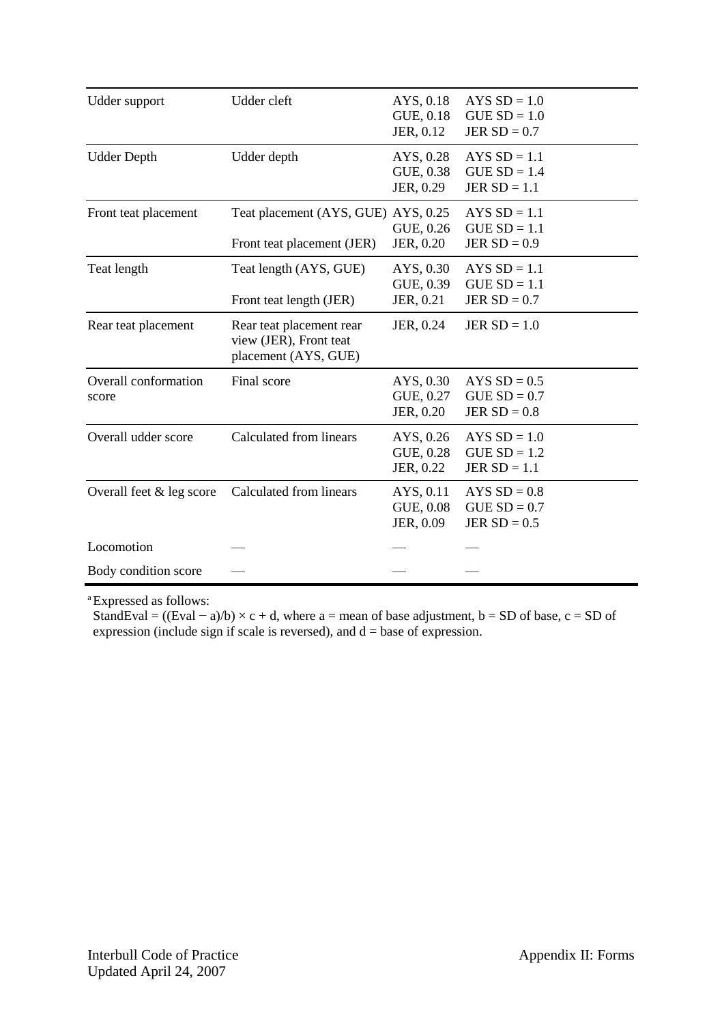| Udder support                 | Udder cleft                                                                | AYS, 0.18<br>GUE, 0.18<br>JER, 0.12 | AYS $SD = 1.0$<br>$GUESD = 1.0$<br>JER $SD = 0.7$  |
|-------------------------------|----------------------------------------------------------------------------|-------------------------------------|----------------------------------------------------|
| <b>Udder Depth</b>            | Udder depth                                                                | AYS, 0.28<br>GUE, 0.38<br>JER, 0.29 | $AYSSD = 1.1$<br>$GUESD = 1.4$<br>JER $SD = 1.1$   |
| Front teat placement          | Teat placement (AYS, GUE) AYS, 0.25<br>Front teat placement (JER)          | GUE, 0.26<br>JER, 0.20              | AYS $SD = 1.1$<br>$GUESD = 1.1$<br>JER $SD = 0.9$  |
| Teat length                   | Teat length (AYS, GUE)<br>Front teat length (JER)                          | AYS, 0.30<br>GUE, 0.39<br>JER, 0.21 | $AYSSD = 1.1$<br>$GUESD = 1.1$<br>JER $SD = 0.7$   |
| Rear teat placement           | Rear teat placement rear<br>view (JER), Front teat<br>placement (AYS, GUE) | JER, 0.24                           | JER $SD = 1.0$                                     |
| Overall conformation<br>score | Final score                                                                | AYS, 0.30<br>GUE, 0.27<br>JER, 0.20 | AYS $SD = 0.5$<br>$GUESD = 0.7$<br>JER $SD = 0.8$  |
| Overall udder score           | Calculated from linears                                                    | AYS, 0.26<br>GUE, 0.28<br>JER, 0.22 | AYS $SD = 1.0$<br>$GUESD = 1.2$<br>JER $SD = 1.1$  |
| Overall feet & leg score      | Calculated from linears                                                    | AYS, 0.11<br>GUE, 0.08<br>JER, 0.09 | $AYS SD = 0.8$<br>$GUE SD = 0.7$<br>JER $SD = 0.5$ |
| Locomotion                    |                                                                            |                                     |                                                    |
| Body condition score          |                                                                            |                                     |                                                    |

<sup>a</sup>Expressed as follows:

StandEval =  $((Eval - a)/b) \times c + d$ , where a = mean of base adjustment, b = SD of base, c = SD of expression (include sign if scale is reversed), and  $d = base$  of expression.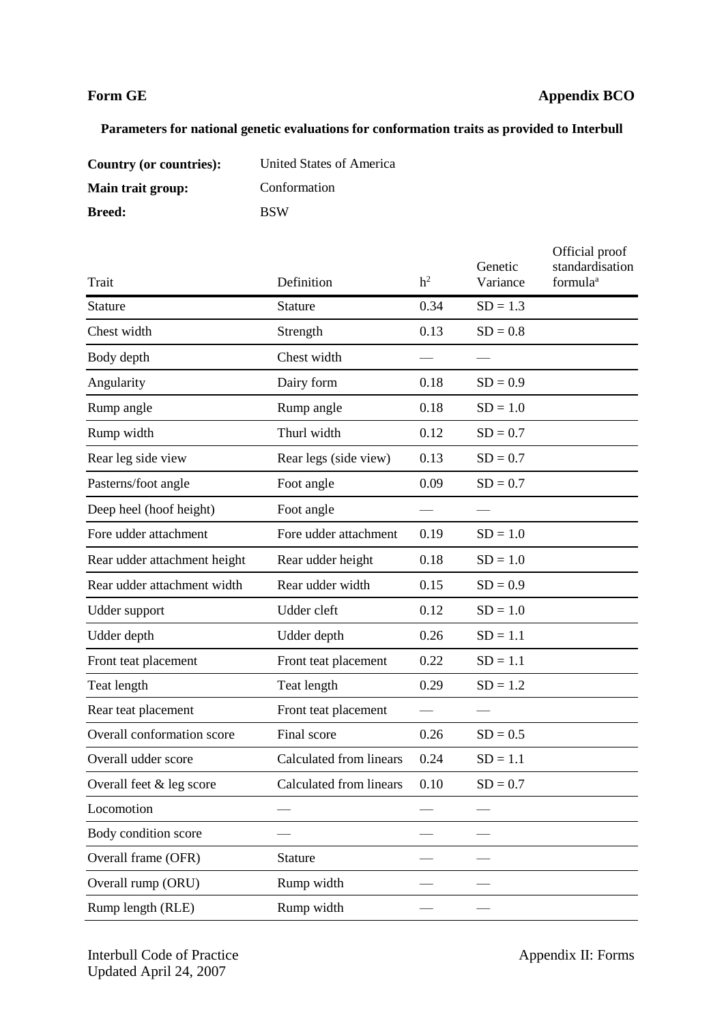# **Form GE Appendix BCO**

# **Parameters for national genetic evaluations for conformation traits as provided to Interbull**

| Country (or countries): | United States of America |
|-------------------------|--------------------------|
| Main trait group:       | Conformation             |
| <b>Breed:</b>           | <b>BSW</b>               |

| Trait                        | Definition              | h <sup>2</sup> | Genetic<br>Variance | Official proof<br>standardisation<br>formula <sup>a</sup> |
|------------------------------|-------------------------|----------------|---------------------|-----------------------------------------------------------|
| <b>Stature</b>               | Stature                 | 0.34           | $SD = 1.3$          |                                                           |
| Chest width                  | Strength                | 0.13           | $SD = 0.8$          |                                                           |
| Body depth                   | Chest width             |                |                     |                                                           |
| Angularity                   | Dairy form              | 0.18           | $SD = 0.9$          |                                                           |
| Rump angle                   | Rump angle              | 0.18           | $SD = 1.0$          |                                                           |
| Rump width                   | Thurl width             | 0.12           | $SD = 0.7$          |                                                           |
| Rear leg side view           | Rear legs (side view)   | 0.13           | $SD = 0.7$          |                                                           |
| Pasterns/foot angle          | Foot angle              | 0.09           | $SD = 0.7$          |                                                           |
| Deep heel (hoof height)      | Foot angle              |                |                     |                                                           |
| Fore udder attachment        | Fore udder attachment   | 0.19           | $SD = 1.0$          |                                                           |
| Rear udder attachment height | Rear udder height       | 0.18           | $SD = 1.0$          |                                                           |
| Rear udder attachment width  | Rear udder width        | 0.15           | $SD = 0.9$          |                                                           |
| Udder support                | Udder cleft             | 0.12           | $SD = 1.0$          |                                                           |
| Udder depth                  | Udder depth             | 0.26           | $SD = 1.1$          |                                                           |
| Front teat placement         | Front teat placement    | 0.22           | $SD = 1.1$          |                                                           |
| Teat length                  | Teat length             | 0.29           | $SD = 1.2$          |                                                           |
| Rear teat placement          | Front teat placement    |                |                     |                                                           |
| Overall conformation score   | Final score             | 0.26           | $SD = 0.5$          |                                                           |
| Overall udder score          | Calculated from linears | 0.24           | $SD = 1.1$          |                                                           |
| Overall feet & leg score     | Calculated from linears | 0.10           | $SD = 0.7$          |                                                           |
| Locomotion                   |                         |                |                     |                                                           |
| Body condition score         |                         |                |                     |                                                           |
| Overall frame (OFR)          | Stature                 |                |                     |                                                           |
| Overall rump (ORU)           | Rump width              |                |                     |                                                           |
| Rump length (RLE)            | Rump width              |                |                     |                                                           |